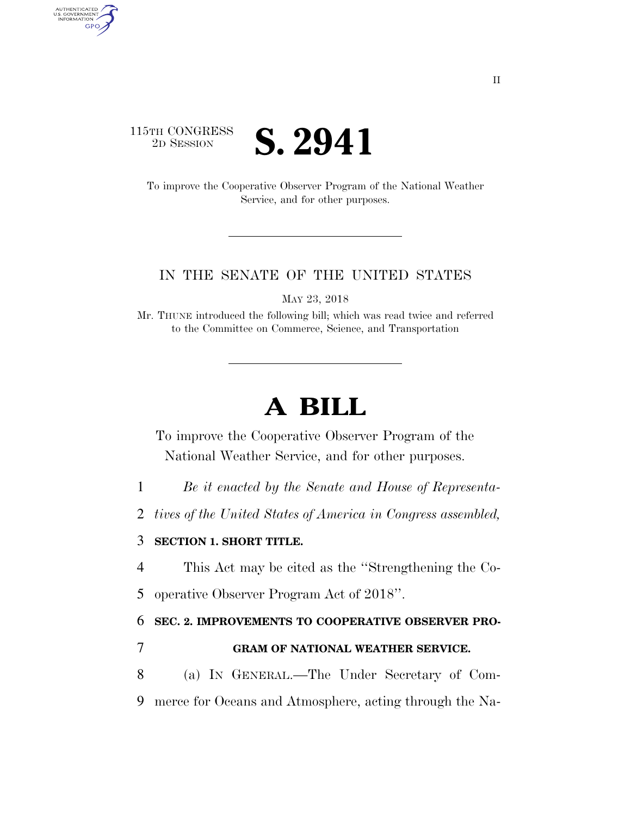# 115TH CONGRESS <sup>TH CONGRESS</sup> **S. 2941**

AUTHENTICATED<br>U.S. GOVERNMENT<br>INFORMATION

**GPO** 

To improve the Cooperative Observer Program of the National Weather Service, and for other purposes.

### IN THE SENATE OF THE UNITED STATES

MAY 23, 2018

Mr. THUNE introduced the following bill; which was read twice and referred to the Committee on Commerce, Science, and Transportation

# **A BILL**

To improve the Cooperative Observer Program of the National Weather Service, and for other purposes.

- 1 *Be it enacted by the Senate and House of Representa-*
- 2 *tives of the United States of America in Congress assembled,*

## 3 **SECTION 1. SHORT TITLE.**

- 4 This Act may be cited as the ''Strengthening the Co-
- 5 operative Observer Program Act of 2018''.

#### 6 **SEC. 2. IMPROVEMENTS TO COOPERATIVE OBSERVER PRO-**

- 7 **GRAM OF NATIONAL WEATHER SERVICE.**
- 8 (a) IN GENERAL.—The Under Secretary of Com-9 merce for Oceans and Atmosphere, acting through the Na-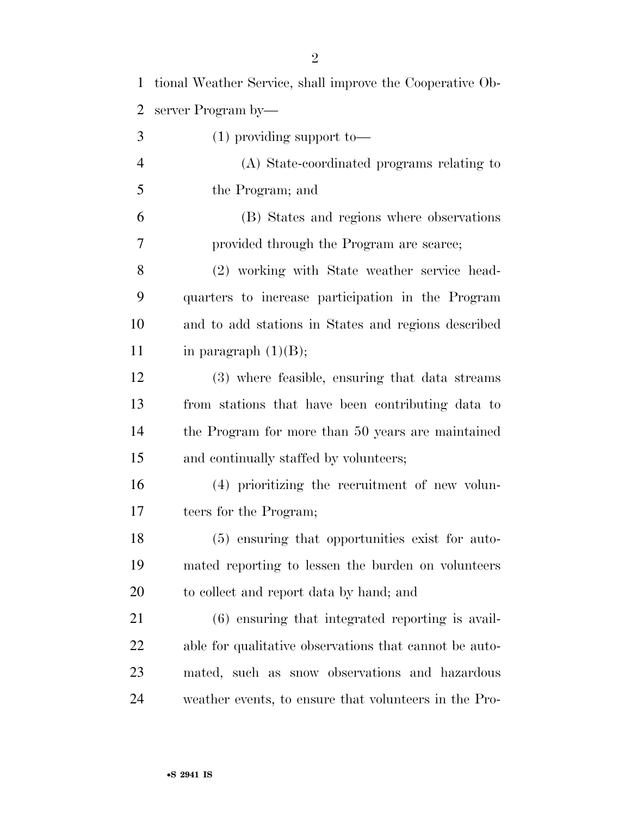| $\mathbf{1}$   | tional Weather Service, shall improve the Cooperative Ob- |
|----------------|-----------------------------------------------------------|
| 2              | server Program by—                                        |
| 3              | $(1)$ providing support to-                               |
| $\overline{4}$ | (A) State-coordinated programs relating to                |
| 5              | the Program; and                                          |
| 6              | (B) States and regions where observations                 |
| 7              | provided through the Program are scarce;                  |
| 8              | (2) working with State weather service head-              |
| 9              | quarters to increase participation in the Program         |
| 10             | and to add stations in States and regions described       |
| 11             | in paragraph $(1)(B)$ ;                                   |
| 12             | (3) where feasible, ensuring that data streams            |
| 13             | from stations that have been contributing data to         |
| 14             | the Program for more than 50 years are maintained         |
| 15             | and continually staffed by volunteers;                    |
| 16             | (4) prioritizing the recruitment of new volun-            |
| 17             | teers for the Program;                                    |
| 18             | (5) ensuring that opportunities exist for auto-           |
| 19             | mated reporting to lessen the burden on volunteers        |
| 20             | to collect and report data by hand; and                   |
| 21             | $(6)$ ensuring that integrated reporting is avail-        |
| <u>22</u>      | able for qualitative observations that cannot be auto-    |
| 23             | mated, such as snow observations and hazardous            |
| 24             | weather events, to ensure that volunteers in the Pro-     |